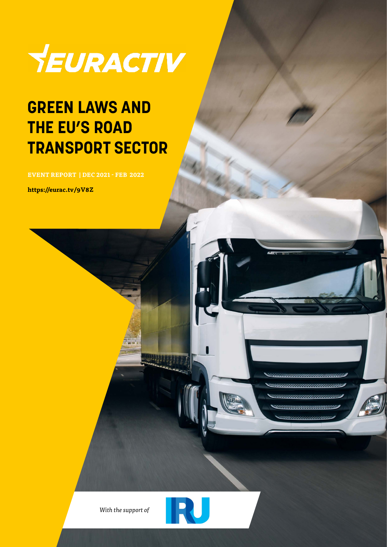

### **GREEN LAWS AND THE EU'S ROAD TRANSPORT SECTOR**

**EVENT REPORT | DEC 2021 - FEB 2022**

**https://eurac.tv/9V8Z**



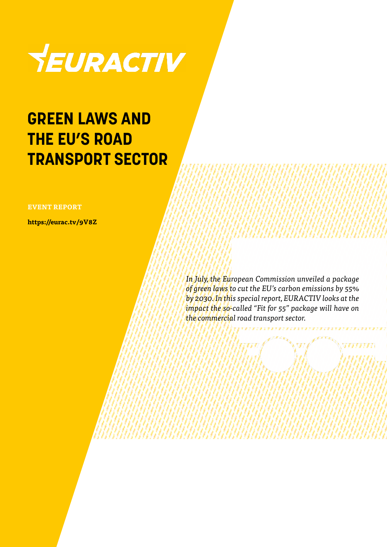

### **GREEN LAWS AND THE EU'S ROAD TRANSPORT SECTOR**

#### **EVENT REPORT**

**https://eurac.tv/9V8Z**

*In July, the European Commission unveiled a package of green laws to cut the EU's carbon emissions by 55% by 2030. In this special report, EURACTIV looks at the impact the so-called "Fit for 55" package will have on the commercial road transport sector.*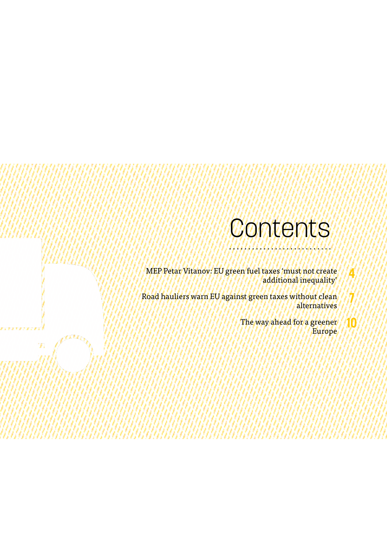### **Contents**

MEP Petar Vitanov: EU green fuel taxes 'must not create additional inequality'

Road hauliers warn EU against green taxes without clean alternatives

Ŋ.

The way ahead for a greener Europe **4**

**7**

**10**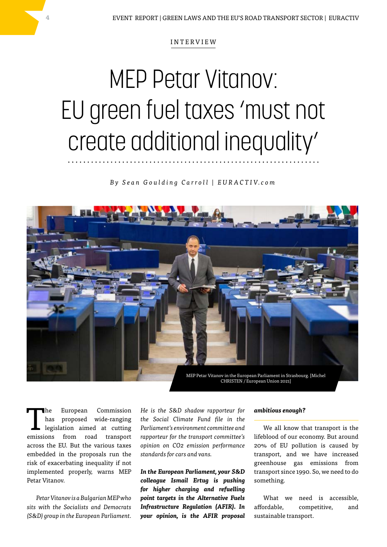#### INTERVIEW

# MEP Petar Vitanov: EU green fuel taxes 'must not create additional inequality'

*B y S e a n G o u l d i n g C a r r o l l | E U R A C T I V. c o m*



The European Commission<br>
has proposed wide-ranging<br>
legislation aimed at cutting<br>
mission from med transment has proposed wide-ranging emissions from road transport across the EU. But the various taxes embedded in the proposals run the risk of exacerbating inequality if not implemented properly, warns MEP Petar Vitanov.

*Petar Vitanov is a Bulgarian MEP who sits with the Socialists and Democrats (S&D) group in the European Parliament.* 

*He is the S&D shadow rapporteur for the Social Climate Fund file in the Parliament's environment committee and rapporteur for the transport committee's opinion on CO2 emission performance standards for cars and vans.*

*In the European Parliament, your S&D colleague Ismail Ertug is pushing for higher charging and refuelling point targets in the Alternative Fuels Infrastructure Regulation (AFIR). In your opinion, is the AFIR proposal* 

#### *ambitious enough?*

We all know that transport is the lifeblood of our economy. But around 20% of EU pollution is caused by transport, and we have increased greenhouse gas emissions from transport since 1990. So, we need to do something.

What we need is accessible, affordable, competitive, and sustainable transport.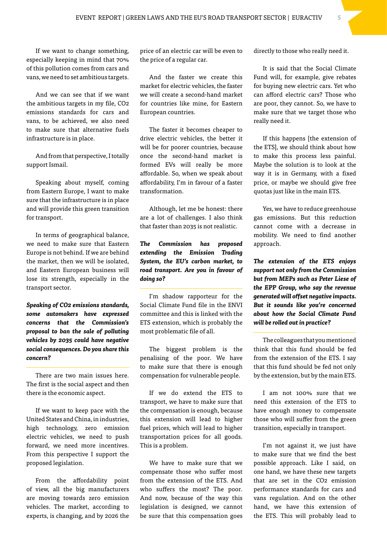If we want to change something, especially keeping in mind that 70% of this pollution comes from cars and vans, we need to set ambitious targets.

And we can see that if we want the ambitious targets in my file, CO2 emissions standards for cars and vans, to be achieved, we also need to make sure that alternative fuels infrastructure is in place.

And from that perspective, I totally support Ismail.

Speaking about myself, coming from Eastern Europe, I want to make sure that the infrastructure is in place and will provide this green transition for transport.

In terms of geographical balance, we need to make sure that Eastern Europe is not behind. If we are behind the market, then we will be isolated, and Eastern European business will lose its strength, especially in the transport sector.

*Speaking of CO2 emissions standards, some automakers have expressed concerns that the Commission's proposal to ban the sale of polluting vehicles by 2035 could have negative social consequences. Do you share this concern?*

There are two main issues here. The first is the social aspect and then there is the economic aspect.

If we want to keep pace with the United States and China, in industries, high technology, zero emission electric vehicles, we need to push forward, we need more incentives. From this perspective I support the proposed legislation.

From the affordability point of view, all the big manufacturers are moving towards zero emission vehicles. The market, according to experts, is changing, and by 2026 the

price of an electric car will be even to the price of a regular car.

And the faster we create this market for electric vehicles, the faster we will create a second-hand market for countries like mine, for Eastern European countries.

The faster it becomes cheaper to drive electric vehicles, the better it will be for poorer countries, because once the second-hand market is formed EVs will really be more affordable. So, when we speak about affordability, I'm in favour of a faster transformation.

Although, let me be honest: there are a lot of challenges. I also think that faster than 2035 is not realistic.

*The Commission has proposed extending the Emission Trading System, the EU's carbon market, to road transport. Are you in favour of doing so?*

I'm shadow rapporteur for the Social Climate Fund file in the ENVI committee and this is linked with the ETS extension, which is probably the most problematic file of all.

The biggest problem is the penalising of the poor. We have to make sure that there is enough compensation for vulnerable people.

If we do extend the ETS to transport, we have to make sure that the compensation is enough, because this extension will lead to higher fuel prices, which will lead to higher transportation prices for all goods. This is a problem.

We have to make sure that we compensate those who suffer most from the extension of the ETS. And who suffers the most? The poor. And now, because of the way this legislation is designed, we cannot be sure that this compensation goes directly to those who really need it.

It is said that the Social Climate Fund will, for example, give rebates for buying new electric cars. Yet who can afford electric cars? Those who are poor, they cannot. So, we have to make sure that we target those who really need it.

If this happens [the extension of the ETS], we should think about how to make this process less painful. Maybe the solution is to look at the way it is in Germany, with a fixed price, or maybe we should give free quotas just like in the main ETS.

Yes, we have to reduce greenhouse gas emissions. But this reduction cannot come with a decrease in mobility. We need to find another approach.

*The extension of the ETS enjoys support not only from the Commission but from MEPs such as Peter Liese of the EPP Group, who say the revenue generated will offset negative impacts. But it sounds like you're concerned about how the Social Climate Fund will be rolled out in practice?*

The colleagues that you mentioned think that this fund should be fed from the extension of the ETS. I say that this fund should be fed not only by the extension, but by the main ETS.

I am not 100% sure that we need this extension of the ETS to have enough money to compensate those who will suffer from the green transition, especially in transport.

I'm not against it, we just have to make sure that we find the best possible approach. Like I said, on one hand, we have these new targets that are set in the CO2 emission performance standards for cars and vans regulation. And on the other hand, we have this extension of the ETS. This will probably lead to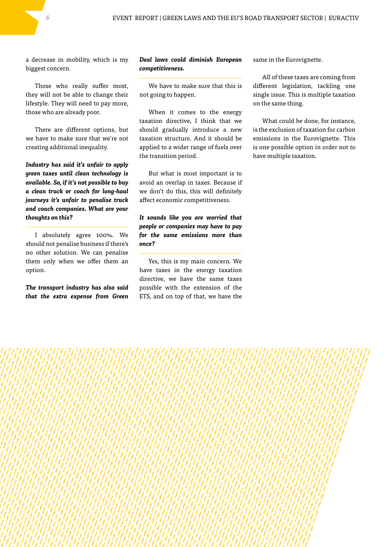a decrease in mobility, which is my biggest concern.

Those who really suffer most, they will not be able to change their lifestyle. They will need to pay more, those who are already poor.

There are different options, but we have to make sure that we're not creating additional inequality.

*Industry has said it's unfair to apply green taxes until clean technology is available. So, if it's not possible to buy a clean truck or coach for long-haul journeys it's unfair to penalise truck and coach companies. What are your thoughts on this?*

I absolutely agree 100%. We should not penalise business if there's no other solution. We can penalise them only when we offer them an option.

*The transport industry has also said that the extra expense from Green*  *Deal laws could diminish European competitiveness.*

We have to make sure that this is not going to happen.

When it comes to the energy taxation directive, I think that we should gradually introduce a new taxation structure. And it should be applied to a wider range of fuels over the transition period.

But what is most important is to avoid an overlap in taxes. Because if we don't do this, this will definitely affect economic competitiveness.

*It sounds like you are worried that people or companies may have to pay for the same emissions more than once?*

Yes, this is my main concern. We have taxes in the energy taxation directive, we have the same taxes possible with the extension of the ETS, and on top of that, we have the same in the Eurovignette.

All of these taxes are coming from different legislation, tackling one single issue. This is multiple taxation on the same thing.

What could be done, for instance, is the exclusion of taxation for carbon emissions in the Eurovignette. This is one possible option in order not to have multiple taxation.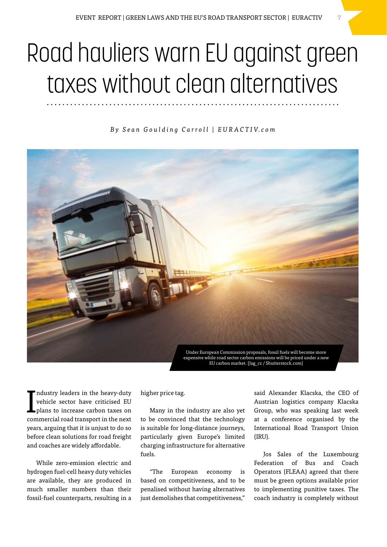## Road hauliers warn EU against green taxes without clean alternatives

*B y S e a n G o u l d i n g C a r r o l l | E U R A C T I V. c o m*



I ndustry leaders in the heavy-duty vehicle sector have criticised EU plans to increase carbon taxes on commercial road transport in the next years, arguing that it is unjust to do so before clean solutions for road freight and coaches are widely affordable.

While zero-emission electric and hydrogen fuel-cell heavy duty vehicles are available, they are produced in much smaller numbers than their fossil-fuel counterparts, resulting in a

higher price tag.

Many in the industry are also yet to be convinced that the technology is suitable for long-distance journeys, particularly given Europe's limited charging infrastructure for alternative fuels.

"The European economy is based on competitiveness, and to be penalised without having alternatives just demolishes that competitiveness,"

said Alexander Klacska, the CEO of Austrian logistics company Klacska Group, who was speaking last week at a conference organised by the International Road Transport Union (IRU).

Jos Sales of the Luxembourg Federation of Bus and Coach Operators (FLEAA) agreed that there must be green options available prior to implementing punitive taxes. The coach industry is completely without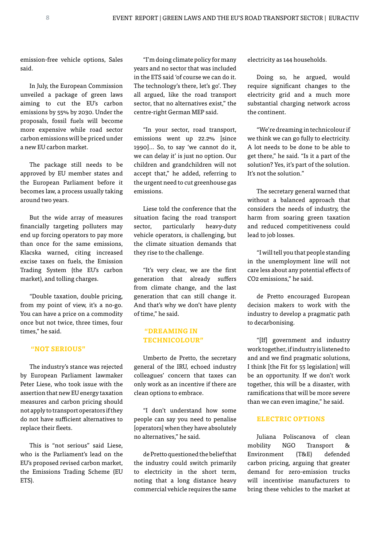emission-free vehicle options, Sales said.

In July, the European Commission unveiled a package of green laws aiming to cut the EU's carbon emissions by 55% by 2030. Under the proposals, fossil fuels will become more expensive while road sector carbon emissions will be priced under a new EU carbon market.

The package still needs to be approved by EU member states and the European Parliament before it becomes law, a process usually taking around two years.

But the wide array of measures financially targeting polluters may end up forcing operators to pay more than once for the same emissions, Klacska warned, citing increased excise taxes on fuels, the Emission Trading System (the EU's carbon market), and tolling charges.

"Double taxation, double pricing, from my point of view, it's a no-go. You can have a price on a commodity once but not twice, three times, four times," he said.

#### **"NOT SERIOUS"**

The industry's stance was rejected by European Parliament lawmaker Peter Liese, who took issue with the assertion that new EU energy taxation measures and carbon pricing should not apply to transport operators if they do not have sufficient alternatives to replace their fleets.

This is "not serious" said Liese, who is the Parliament's lead on the EU's proposed revised carbon market, the Emissions Trading Scheme (EU ETS).

"I'm doing climate policy for many years and no sector that was included in the ETS said 'of course we can do it. The technology's there, let's go'. They all argued, like the road transport sector, that no alternatives exist," the centre-right German MEP said.

"In your sector, road transport, emissions went up 22.2% [since 1990]… So, to say 'we cannot do it, we can delay it' is just no option. Our children and grandchildren will not accept that," he added, referring to the urgent need to cut greenhouse gas emissions.

Liese told the conference that the situation facing the road transport sector, particularly heavy-duty vehicle operators, is challenging, but the climate situation demands that they rise to the challenge.

"It's very clear, we are the first generation that already suffers from climate change, and the last generation that can still change it. And that's why we don't have plenty of time," he said.

### **"DREAMING IN TECHNICOLOUR"**

Umberto de Pretto, the secretary general of the IRU, echoed industry colleagues' concern that taxes can only work as an incentive if there are clean options to embrace.

"I don't understand how some people can say you need to penalise [operators] when they have absolutely no alternatives," he said.

de Pretto questioned the belief that the industry could switch primarily to electricity in the short term, noting that a long distance heavy commercial vehicle requires the same electricity as 144 households.

Doing so, he argued, would require significant changes to the electricity grid and a much more substantial charging network across the continent.

"We're dreaming in technicolour if we think we can go fully to electricity. A lot needs to be done to be able to get there," he said. "Is it a part of the solution? Yes, it's part of the solution. It's not the solution."

The secretary general warned that without a balanced approach that considers the needs of industry, the harm from soaring green taxation and reduced competitiveness could lead to job losses.

"I will tell you that people standing in the unemployment line will not care less about any potential effects of CO2 emissions," he said.

de Pretto encouraged European decision makers to work with the industry to develop a pragmatic path to decarbonising.

"[If] government and industry work together, if industry is listened to and and we find pragmatic solutions, I think [the Fit for 55 legislation] will be an opportunity. If we don't work together, this will be a disaster, with ramifications that will be more severe than we can even imagine," he said.

#### **ELECTRIC OPTIONS**

Juliana Poliscanova of clean mobility NGO Transport & Environment (T&E) defended carbon pricing, arguing that greater demand for zero-emission trucks will incentivise manufacturers to bring these vehicles to the market at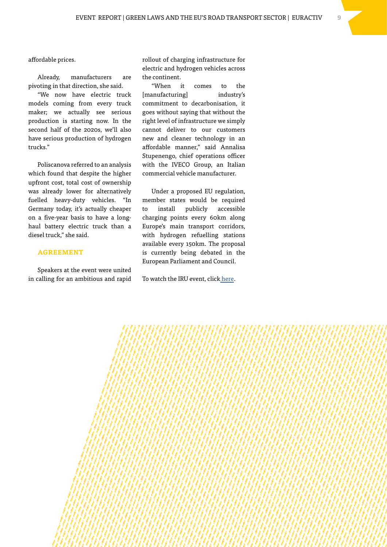affordable prices.

Already, manufacturers are pivoting in that direction, she said.

"We now have electric truck models coming from every truck maker; we actually see serious production is starting now. In the second half of the 2020s, we'll also have serious production of hydrogen trucks."

Poliscanova referred to an analysis which found that despite the higher upfront cost, total cost of ownership was already lower for alternatively fuelled heavy-duty vehicles. "In Germany today, it's actually cheaper on a five-year basis to have a longhaul battery electric truck than a diesel truck," she said.

#### **AGREEMENT**

Speakers at the event were united in calling for an ambitious and rapid rollout of charging infrastructure for electric and hydrogen vehicles across the continent.

"When it comes to the [manufacturing] industry's commitment to decarbonisation, it goes without saying that without the right level of infrastructure we simply cannot deliver to our customers new and cleaner technology in an affordable manner," said Annalisa Stupenengo, chief operations officer with the IVECO Group, an Italian commercial vehicle manufacturer.

Under a proposed EU regulation, member states would be required to install publicly accessible charging points every 60km along Europe's main transport corridors, with hydrogen refuelling stations available every 150km. The proposal is currently being debated in the European Parliament and Council.

To watch the IRU event, click [here.](https://www.youtube.com/watch?v=EMMs92oYLGs)

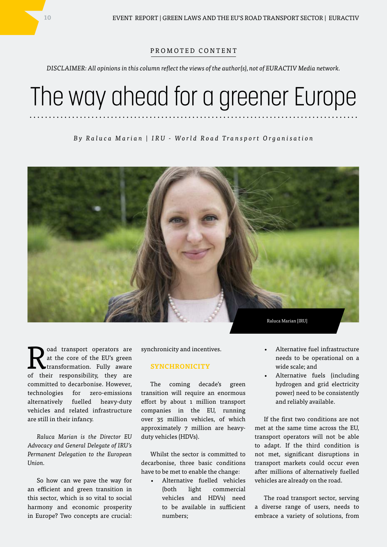#### PROMOTED CONTENT

*DISCLAIMER: All opinions in this column reflect the views of the author(s), not of EURACTIV Media network.*

## The way ahead for a greener Europe

*By Raluca Marian | IRU - World Road Transport Organisation*



Road transport operators are<br>at the core of the EU's green<br>of their momentality that are at the core of the EU's green transformation. Fully aware of their responsibility, they are committed to decarbonise. However, technologies for zero-emissions alternatively fuelled heavy-duty vehicles and related infrastructure are still in their infancy.

*Raluca Marian is the Director EU Advocacy and General Delegate of IRU's Permanent Delegation to the European Union.*

So how can we pave the way for an efficient and green transition in this sector, which is so vital to social harmony and economic prosperity in Europe? Two concepts are crucial: synchronicity and incentives.

#### **SYNCHRONICITY**

The coming decade's green transition will require an enormous effort by about 1 million transport companies in the EU, running over 35 million vehicles, of which approximately 7 million are heavyduty vehicles (HDVs).

Whilst the sector is committed to decarbonise, three basic conditions have to be met to enable the change:

• Alternative fuelled vehicles (both light commercial vehicles and HDVs) need to be available in sufficient numbers;

- Alternative fuel infrastructure needs to be operational on a wide scale; and
- Alternative fuels (including hydrogen and grid electricity power) need to be consistently and reliably available.

If the first two conditions are not met at the same time across the EU, transport operators will not be able to adapt. If the third condition is not met, significant disruptions in transport markets could occur even after millions of alternatively fuelled vehicles are already on the road.

The road transport sector, serving a diverse range of users, needs to embrace a variety of solutions, from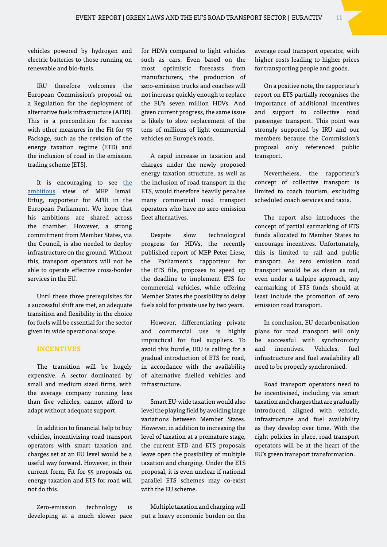vehicles powered by hydrogen and electric batteries to those running on renewable and bio-fuels.

IRU therefore welcomes the European Commission's proposal on a Regulation for the deployment of alternative fuels infrastructure (AFIR). This is a precondition for success with other measures in the Fit for 55 Package, such as the revision of the energy taxation regime (ETD) and the inclusion of road in the emission trading scheme (ETS).

It is encouraging to see [the](https://www.iru.org/news-resources/newsroom/fit-55-opportunity-road-transport-industry) [ambitious](https://www.iru.org/news-resources/newsroom/fit-55-opportunity-road-transport-industry) view of MEP Ismail Ertug, rapporteur for AFIR in the European Parliament. We hope that his ambitions are shared across the chamber. However, a strong commitment from Member States, via the Council, is also needed to deploy infrastructure on the ground. Without this, transport operators will not be able to operate effective cross-border services in the EU.

Until these three prerequisites for a successful shift are met, an adequate transition and flexibility in the choice for fuels will be essential for the sector given its wide operational scope.

#### **INCENTIVES**

The transition will be hugely expensive. A sector dominated by small and medium sized firms, with the average company running less than five vehicles, cannot afford to adapt without adequate support.

In addition to financial help to buy vehicles, incentivising road transport operators with smart taxation and charges set at an EU level would be a useful way forward. However, in their current form, Fit for 55 proposals on energy taxation and ETS for road will not do this.

Zero-emission technology is developing at a much slower pace for HDVs compared to light vehicles such as cars. Even based on the most optimistic forecasts from manufacturers, the production of zero-emission trucks and coaches will not increase quickly enough to replace the EU's seven million HDVs. And given current progress, the same issue is likely to slow replacement of the tens of millions of light commercial vehicles on Europe's roads.

A rapid increase in taxation and charges under the newly proposed energy taxation structure, as well as the inclusion of road transport in the ETS, would therefore heavily penalise many commercial road transport operators who have no zero-emission fleet alternatives.

Despite slow technological progress for HDVs, the recently published report of MEP Peter Liese, the Parliament's rapporteur for the ETS file, proposes to speed up the deadline to implement ETS for commercial vehicles, while offering Member States the possibility to delay fuels sold for private use by two years.

However, differentiating private and commercial use is highly impractical for fuel suppliers. To avoid this hurdle, IRU is calling for a gradual introduction of ETS for road, in accordance with the availability of alternative fuelled vehicles and infrastructure.

Smart EU-wide taxation would also level the playing field by avoiding large variations between Member States. However, in addition to increasing the level of taxation at a premature stage, the current ETD and ETS proposals leave open the possibility of multiple taxation and charging. Under the ETS proposal, it is even unclear if national parallel ETS schemes may co-exist with the EU scheme.

Multiple taxation and charging will put a heavy economic burden on the average road transport operator, with higher costs leading to higher prices for transporting people and goods.

On a positive note, the rapporteur's report on ETS partially recognises the importance of additional incentives and support to collective road passenger transport. This point was strongly supported by IRU and our members because the Commission's proposal only referenced public transport.

Nevertheless, the rapporteur's concept of collective transport is limited to coach tourism, excluding scheduled coach services and taxis.

The report also introduces the concept of partial earmarking of ETS funds allocated to Member States to encourage incentives. Unfortunately, this is limited to rail and public transport. As zero emission road transport would be as clean as rail, even under a tailpipe approach, any earmarking of ETS funds should at least include the promotion of zero emission road transport.

In conclusion, EU decarbonisation plans for road transport will only be successful with synchronicity and incentives. Vehicles, fuel infrastructure and fuel availability all need to be properly synchronised.

Road transport operators need to be incentivised, including via smart taxation and charges that are gradually introduced, aligned with vehicle, infrastructure and fuel availability as they develop over time. With the right policies in place, road transport operators will be at the heart of the EU's green transport transformation.